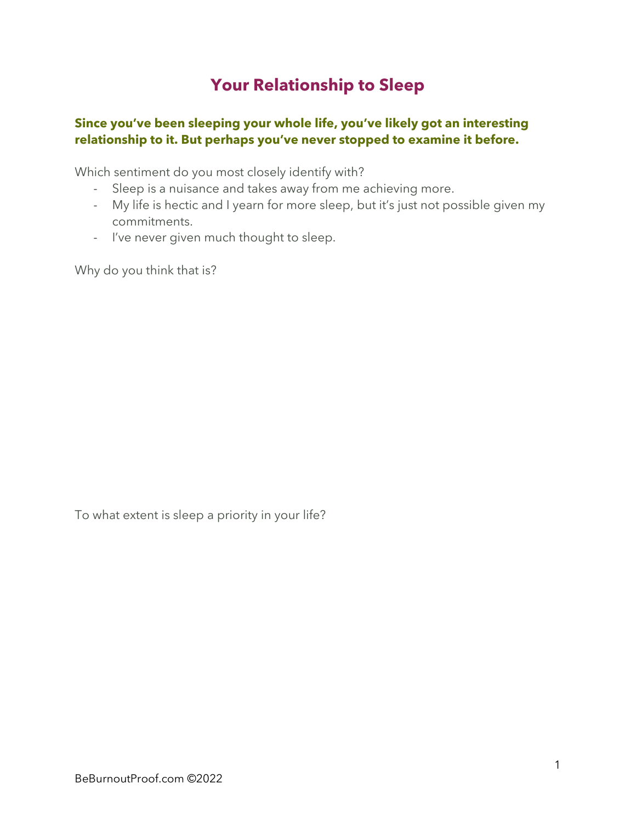## **Your Relationship to Sleep**

## **Since you've been sleeping your whole life, you've likely got an interesting relationship to it. But perhaps you've never stopped to examine it before.**

Which sentiment do you most closely identify with?

- Sleep is a nuisance and takes away from me achieving more.
- My life is hectic and I yearn for more sleep, but it's just not possible given my commitments.
- I've never given much thought to sleep.

Why do you think that is?

To what extent is sleep a priority in your life?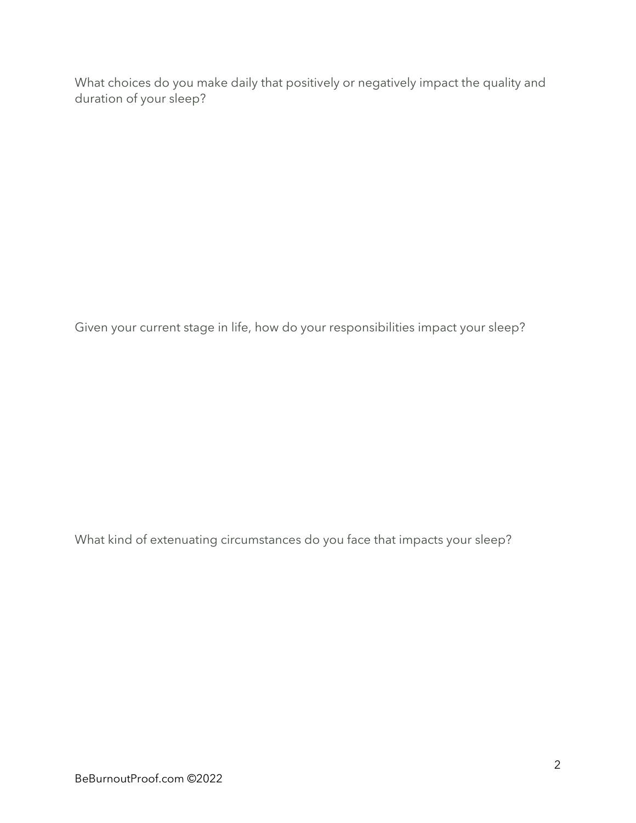What choices do you make daily that positively or negatively impact the quality and duration of your sleep?

Given your current stage in life, how do your responsibilities impact your sleep?

What kind of extenuating circumstances do you face that impacts your sleep?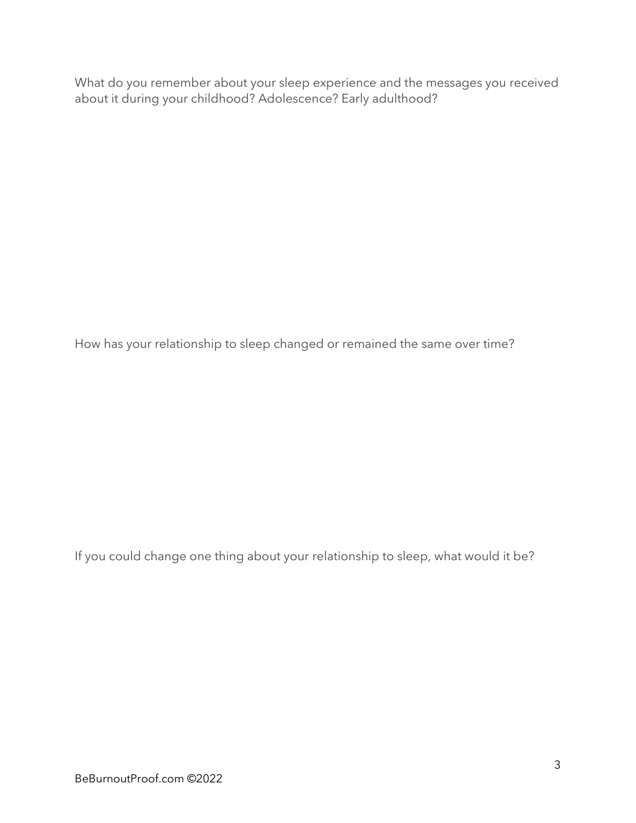What do you remember about your sleep experience and the messages you received about it during your childhood? Adolescence? Early adulthood?

How has your relationship to sleep changed or remained the same over time?

If you could change one thing about your relationship to sleep, what would it be?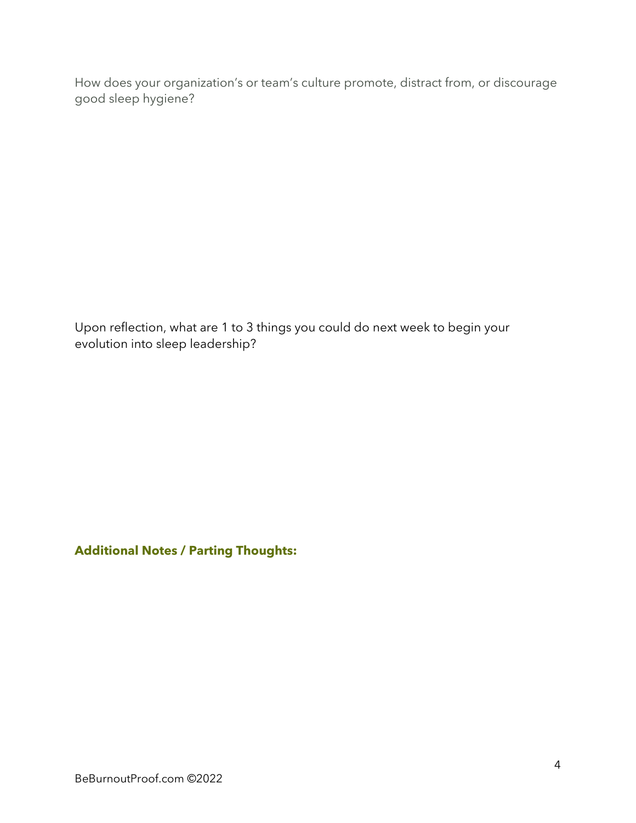How does your organization's or team's culture promote, distract from, or discourage good sleep hygiene?

Upon reflection, what are 1 to 3 things you could do next week to begin your evolution into sleep leadership?

**Additional Notes / Parting Thoughts:**